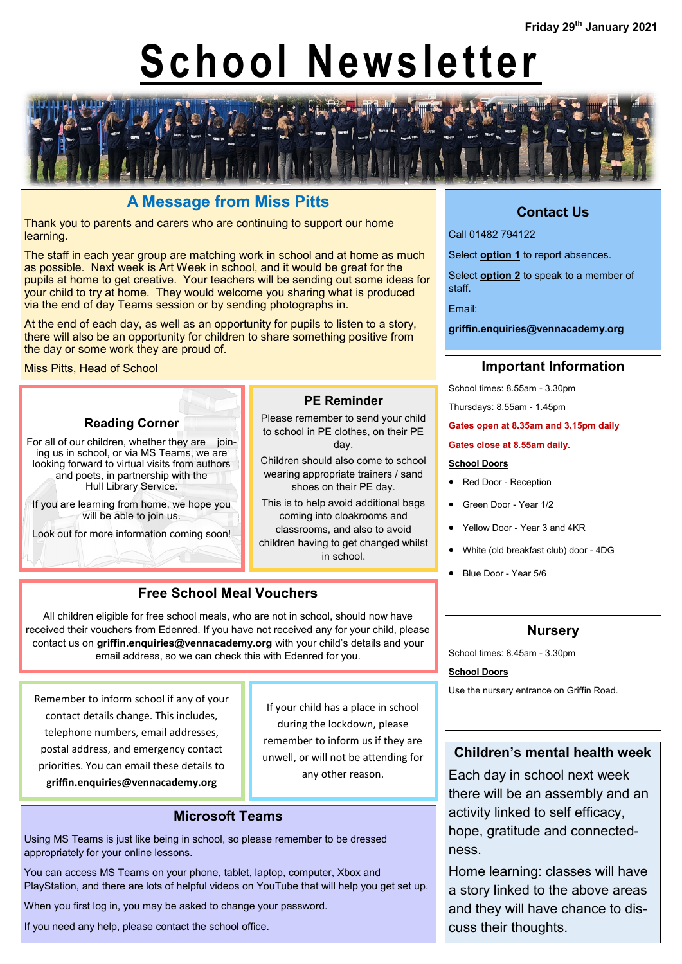# **School Newsletter**



# **A Message from Miss Pitts**

Thank you to parents and carers who are continuing to support our home learning.

The staff in each year group are matching work in school and at home as much as possible. Next week is Art Week in school, and it would be great for the pupils at home to get creative. Your teachers will be sending out some ideas for your child to try at home. They would welcome you sharing what is produced via the end of day Teams session or by sending photographs in.

At the end of each day, as well as an opportunity for pupils to listen to a story, there will also be an opportunity for children to share something positive from the day or some work they are proud of.

Miss Pitts, Head of School

#### **Reading Corner**

For all of our children, whether they are joining us in school, or via MS Teams, we are looking forward to virtual visits from authors and poets, in partnership with the Hull Library Service.

If you are learning from home, we hope you will be able to join us.

Look out for more information coming soon!

#### **PE Reminder**

Please remember to send your child to school in PE clothes, on their PE day.

Children should also come to school wearing appropriate trainers / sand shoes on their PE day.

This is to help avoid additional bags coming into cloakrooms and classrooms, and also to avoid children having to get changed whilst

in school.

# **Free School Meal Vouchers**

All children eligible for free school meals, who are not in school, should now have received their vouchers from Edenred. If you have not received any for your child, please contact us on **griffin.enquiries@vennacademy.org** with your child's details and your email address, so we can check this with Edenred for you.

Remember to inform school if any of your contact details change. This includes, telephone numbers, email addresses, postal address, and emergency contact priorities. You can email these details to **griffin.enquiries@vennacademy.org**

If your child has a place in school during the lockdown, please remember to inform us if they are unwell, or will not be attending for any other reason.

#### **Microsoft Teams**

Using MS Teams is just like being in school, so please remember to be dressed appropriately for your online lessons.

You can access MS Teams on your phone, tablet, laptop, computer, Xbox and PlayStation, and there are lots of helpful videos on YouTube that will help you get set up.

When you first log in, you may be asked to change your password.

If you need any help, please contact the school office.

# **Contact Us**

Call 01482 794122

Select **option 1** to report absences.

Select **option 2** to speak to a member of staff.

Email:

**griffin.enquiries@vennacademy.org**

### **Important Information**

School times: 8.55am - 3.30pm

Thursdays: 8.55am - 1.45pm

**Gates open at 8.35am and 3.15pm daily**

**Gates close at 8.55am daily.**

#### **School Doors**

• Red Door - Reception

• Green Door - Year 1/2

- Yellow Door Year 3 and 4KR
- White (old breakfast club) door 4DG
- Blue Door Year 5/6

#### **Nursery**

School times: 8.45am - 3.30pm

**School Doors**

Use the nursery entrance on Griffin Road.

#### **Children's mental health week**

Each day in school next week there will be an assembly and an activity linked to self efficacy, hope, gratitude and connectedness.

Home learning: classes will have a story linked to the above areas and they will have chance to discuss their thoughts.